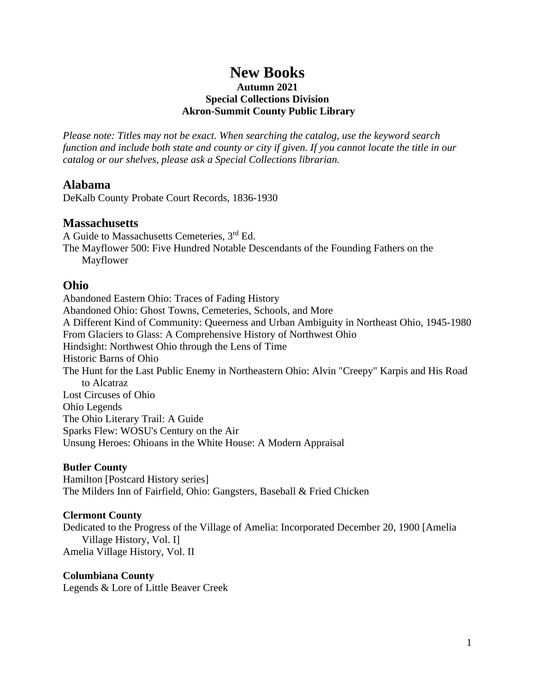# **New Books**

### **Autumn 2021 Special Collections Division Akron-Summit County Public Library**

*Please note: Titles may not be exact. When searching the catalog, use the keyword search function and include both state and county or city if given. If you cannot locate the title in our catalog or our shelves, please ask a Special Collections librarian.*

### **Alabama**

DeKalb County Probate Court Records, 1836-1930

### **Massachusetts**

A Guide to Massachusetts Cemeteries, 3rd Ed. The Mayflower 500: Five Hundred Notable Descendants of the Founding Fathers on the Mayflower

# **Ohio**

Abandoned Eastern Ohio: Traces of Fading History Abandoned Ohio: Ghost Towns, Cemeteries, Schools, and More A Different Kind of Community: Queerness and Urban Ambiguity in Northeast Ohio, 1945-1980 From Glaciers to Glass: A Comprehensive History of Northwest Ohio Hindsight: Northwest Ohio through the Lens of Time Historic Barns of Ohio The Hunt for the Last Public Enemy in Northeastern Ohio: Alvin "Creepy" Karpis and His Road to Alcatraz Lost Circuses of Ohio Ohio Legends The Ohio Literary Trail: A Guide Sparks Flew: WOSU's Century on the Air Unsung Heroes: Ohioans in the White House: A Modern Appraisal

### **Butler County**

Hamilton [Postcard History series] The Milders Inn of Fairfield, Ohio: Gangsters, Baseball & Fried Chicken

### **Clermont County**

Dedicated to the Progress of the Village of Amelia: Incorporated December 20, 1900 [Amelia Village History, Vol. I] Amelia Village History, Vol. II

### **Columbiana County**

Legends & Lore of Little Beaver Creek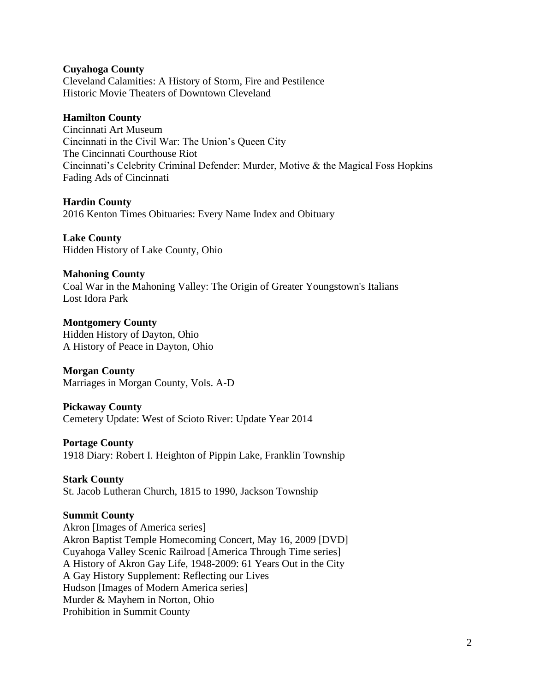### **Cuyahoga County**

Cleveland Calamities: A History of Storm, Fire and Pestilence Historic Movie Theaters of Downtown Cleveland

### **Hamilton County**

Cincinnati Art Museum Cincinnati in the Civil War: The Union's Queen City The Cincinnati Courthouse Riot Cincinnati's Celebrity Criminal Defender: Murder, Motive & the Magical Foss Hopkins Fading Ads of Cincinnati

### **Hardin County**

2016 Kenton Times Obituaries: Every Name Index and Obituary

**Lake County** Hidden History of Lake County, Ohio

### **Mahoning County**

Coal War in the Mahoning Valley: The Origin of Greater Youngstown's Italians Lost Idora Park

**Montgomery County** Hidden History of Dayton, Ohio A History of Peace in Dayton, Ohio

**Morgan County** Marriages in Morgan County, Vols. A-D

### **Pickaway County**

Cemetery Update: West of Scioto River: Update Year 2014

#### **Portage County**

1918 Diary: Robert I. Heighton of Pippin Lake, Franklin Township

#### **Stark County**

St. Jacob Lutheran Church, 1815 to 1990, Jackson Township

#### **Summit County**

Akron [Images of America series] Akron Baptist Temple Homecoming Concert, May 16, 2009 [DVD] Cuyahoga Valley Scenic Railroad [America Through Time series] A History of Akron Gay Life, 1948-2009: 61 Years Out in the City A Gay History Supplement: Reflecting our Lives Hudson [Images of Modern America series] Murder & Mayhem in Norton, Ohio Prohibition in Summit County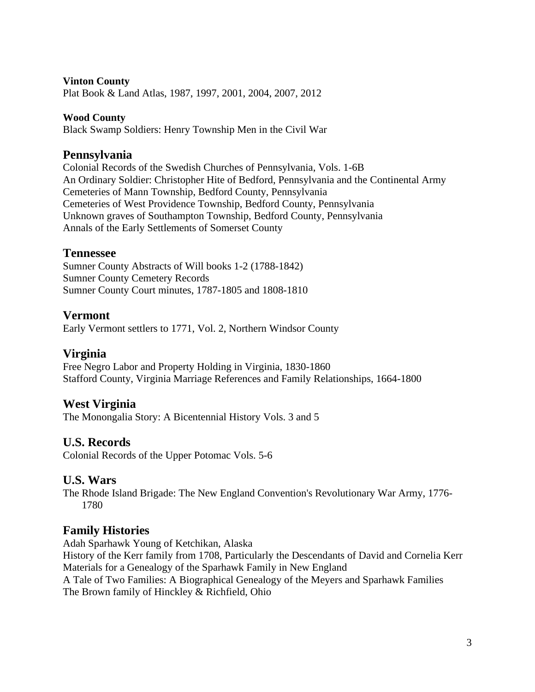### **Vinton County**

Plat Book & Land Atlas, 1987, 1997, 2001, 2004, 2007, 2012

### **Wood County**

Black Swamp Soldiers: Henry Township Men in the Civil War

# **Pennsylvania**

Colonial Records of the Swedish Churches of Pennsylvania, Vols. 1-6B An Ordinary Soldier: Christopher Hite of Bedford, Pennsylvania and the Continental Army Cemeteries of Mann Township, Bedford County, Pennsylvania Cemeteries of West Providence Township, Bedford County, Pennsylvania Unknown graves of Southampton Township, Bedford County, Pennsylvania Annals of the Early Settlements of Somerset County

## **Tennessee**

Sumner County Abstracts of Will books 1-2 (1788-1842) Sumner County Cemetery Records Sumner County Court minutes, 1787-1805 and 1808-1810

# **Vermont**

Early Vermont settlers to 1771, Vol. 2, Northern Windsor County

## **Virginia**

Free Negro Labor and Property Holding in Virginia, 1830-1860 Stafford County, Virginia Marriage References and Family Relationships, 1664-1800

## **West Virginia**

The Monongalia Story: A Bicentennial History Vols. 3 and 5

## **U.S. Records**

Colonial Records of the Upper Potomac Vols. 5-6

# **U.S. Wars**

The Rhode Island Brigade: The New England Convention's Revolutionary War Army, 1776- 1780

# **Family Histories**

Adah Sparhawk Young of Ketchikan, Alaska History of the Kerr family from 1708, Particularly the Descendants of David and Cornelia Kerr Materials for a Genealogy of the Sparhawk Family in New England A Tale of Two Families: A Biographical Genealogy of the Meyers and Sparhawk Families The Brown family of Hinckley & Richfield, Ohio